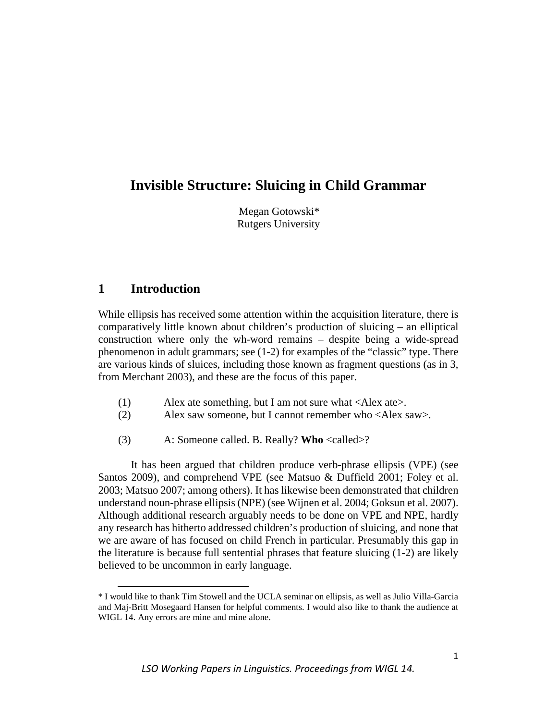# **Invisible Structure: Sluicing in Child Grammar**

Megan Gotowski\* Rutgers University

## **1 Introduction**

 $\overline{a}$ 

While ellipsis has received some attention within the acquisition literature, there is comparatively little known about children's production of sluicing – an elliptical construction where only the wh-word remains – despite being a wide-spread phenomenon in adult grammars; see (1-2) for examples of the "classic" type. There are various kinds of sluices, including those known as fragment questions (as in 3, from Merchant 2003), and these are the focus of this paper.

- (1) Alex ate something, but I am not sure what <Alex ate>.
- (2) Alex saw someone, but I cannot remember who <Alex saw>.
- (3) A: Someone called. B. Really? **Who** <called>?

It has been argued that children produce verb-phrase ellipsis (VPE) (see Santos 2009), and comprehend VPE (see Matsuo & Duffield 2001; Foley et al. 2003; Matsuo 2007; among others). It has likewise been demonstrated that children understand noun-phrase ellipsis (NPE) (see Wijnen et al. 2004; Goksun et al. 2007). Although additional research arguably needs to be done on VPE and NPE, hardly any research has hitherto addressed children's production of sluicing, and none that we are aware of has focused on child French in particular. Presumably this gap in the literature is because full sentential phrases that feature sluicing (1-2) are likely believed to be uncommon in early language.

<span id="page-0-0"></span><sup>\*</sup> I would like to thank Tim Stowell and the UCLA seminar on ellipsis, as well as Julio Villa-Garcia and Maj-Britt Mosegaard Hansen for helpful comments. I would also like to thank the audience at WIGL 14. Any errors are mine and mine alone.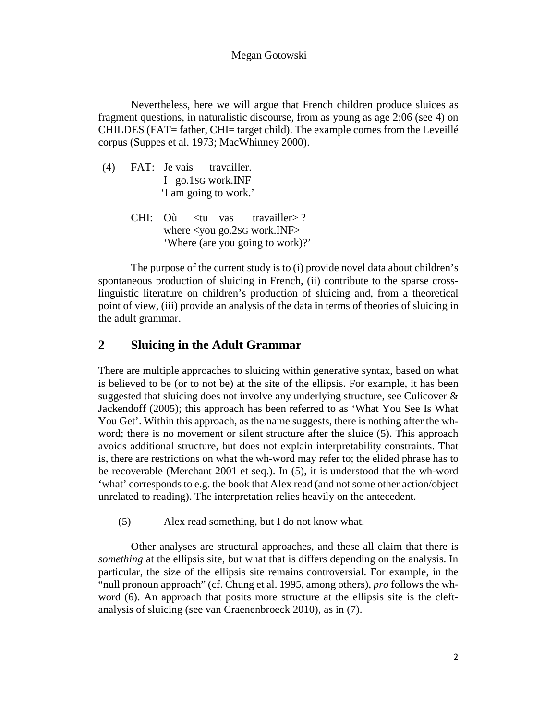Nevertheless, here we will argue that French children produce sluices as fragment questions, in naturalistic discourse, from as young as age 2;06 (see 4) on CHILDES (FAT= father, CHI= target child). The example comes from the Leveillé corpus (Suppes et al. 1973; MacWhinney 2000).

- (4) FAT: Je vais travailler. I go.1SG work.INF 'I am going to work.'
	- CHI: Où <tu vas travailler>? where <you go.2SG work.INF> 'Where (are you going to work)?'

The purpose of the current study is to (i) provide novel data about children's spontaneous production of sluicing in French, (ii) contribute to the sparse crosslinguistic literature on children's production of sluicing and, from a theoretical point of view, (iii) provide an analysis of the data in terms of theories of sluicing in the adult grammar.

## **2 Sluicing in the Adult Grammar**

There are multiple approaches to sluicing within generative syntax, based on what is believed to be (or to not be) at the site of the ellipsis. For example, it has been suggested that sluicing does not involve any underlying structure, see Culicover & Jackendoff (2005); this approach has been referred to as 'What You See Is What You Get'. Within this approach, as the name suggests, there is nothing after the whword; there is no movement or silent structure after the sluice (5). This approach avoids additional structure, but does not explain interpretability constraints. That is, there are restrictions on what the wh-word may refer to; the elided phrase has to be recoverable (Merchant 2001 et seq.). In (5), it is understood that the wh-word 'what' corresponds to e.g. the book that Alex read (and not some other action/object unrelated to reading). The interpretation relies heavily on the antecedent.

(5) Alex read something, but I do not know what.

Other analyses are structural approaches, and these all claim that there is *something* at the ellipsis site, but what that is differs depending on the analysis. In particular, the size of the ellipsis site remains controversial. For example, in the "null pronoun approach" (cf. Chung et al. 1995, among others), *pro* follows the whword (6). An approach that posits more structure at the ellipsis site is the cleftanalysis of sluicing (see van Craenenbroeck 2010), as in (7).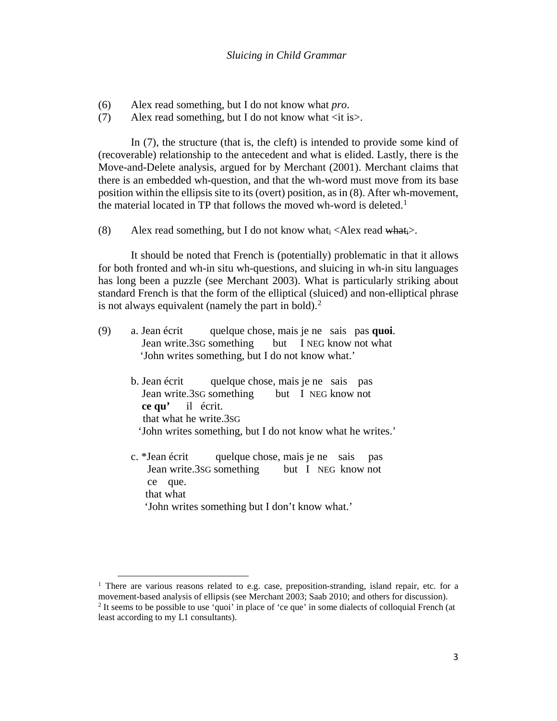- (6) Alex read something, but I do not know what *pro*.
- (7) Alex read something, but I do not know what  $\langle$ it is $\rangle$ .

In (7), the structure (that is, the cleft) is intended to provide some kind of (recoverable) relationship to the antecedent and what is elided. Lastly, there is the Move-and-Delete analysis, argued for by Merchant (2001). Merchant claims that there is an embedded wh-question, and that the wh-word must move from its base position within the ellipsis site to its (overt) position, as in (8). After wh-movement, the material located in TP that follows the moved wh-word is deleted.<sup>[1](#page-2-0)</sup>

(8) Alex read something, but I do not know what  $\langle$ Alex read what  $\rangle$ .

It should be noted that French is (potentially) problematic in that it allows for both fronted and wh-in situ wh-questions, and sluicing in wh-in situ languages has long been a puzzle (see Merchant 2003). What is particularly striking about standard French is that the form of the elliptical (sluiced) and non-elliptical phrase is not always equivalent (namely the part in bold).<sup>2</sup>

- (9) a. Jean écrit quelque chose, mais je ne sais pas **quoi**. Jean write.3SG something but I NEG know not what 'John writes something, but I do not know what.'
	- b. Jean écrit quelque chose, mais je ne sais pas Jean write.3SG something but I NEG know not  **ce qu'** ilécrit. that what he write.3SG 'John writes something, but I do not know what he writes.'
	- c. \*Jean écrit quelque chose, mais je ne sais pas Jean write.3SG something but I NEG know not ce que. that what 'John writes something but I don't know what.'

 $\overline{a}$ 

<span id="page-2-1"></span><span id="page-2-0"></span><sup>&</sup>lt;sup>1</sup> There are various reasons related to e.g. case, preposition-stranding, island repair, etc. for a movement-based analysis of ellipsis (see Merchant 2003; Saab 2010; and others for discussion). <sup>2</sup> It seems to be possible to use 'quoi' in place of 'ce que' in some dialects of colloquial French (at least according to my L1 consultants).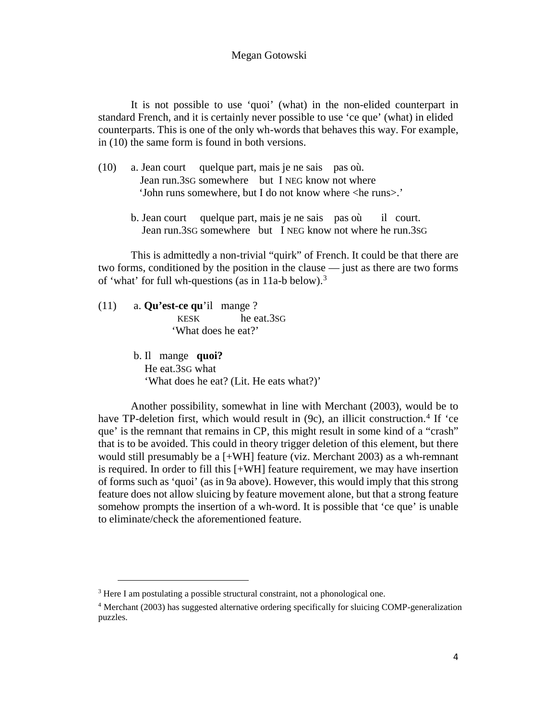It is not possible to use 'quoi' (what) in the non-elided counterpart in standard French, and it is certainly never possible to use 'ce que' (what) in elided counterparts. This is one of the only wh-words that behaves this way. For example, in (10) the same form is found in both versions.

- (10) a. Jean court quelque part, mais je ne sais pas où. Jean run.3SG somewhere but I NEG know not where 'John runs somewhere, but I do not know where <he runs>.'
	- b. Jean court quelque part, mais je ne sais pas où il court. Jean run.3SG somewhere but I NEG know not where he run.3SG

This is admittedly a non-trivial "quirk" of French. It could be that there are two forms, conditioned by the position in the clause — just as there are two forms of 'what' for full wh-questions (as in 11a-b below)[.3](#page-3-0)

(11) a. **Qu'est-ce qu**'il mange ? KESK he eat.3SG 'What does he eat?'

> b. Il mange **quoi?** He eat.3SG what 'What does he eat? (Lit. He eats what?)'

Another possibility, somewhat in line with Merchant (2003), would be to have TP-deletion first, which would result in  $(9c)$ , an illicit construction.<sup>[4](#page-3-1)</sup> If 'ce que' is the remnant that remains in CP, this might result in some kind of a "crash" that is to be avoided. This could in theory trigger deletion of this element, but there would still presumably be a [+WH] feature (viz. Merchant 2003) as a wh-remnant is required. In order to fill this [+WH] feature requirement, we may have insertion of forms such as 'quoi' (as in 9a above). However, this would imply that this strong feature does not allow sluicing by feature movement alone, but that a strong feature somehow prompts the insertion of a wh-word. It is possible that 'ce que' is unable to eliminate/check the aforementioned feature.

 $\overline{a}$ 

<span id="page-3-0"></span><sup>&</sup>lt;sup>3</sup> Here I am postulating a possible structural constraint, not a phonological one.

<span id="page-3-1"></span><sup>4</sup> Merchant (2003) has suggested alternative ordering specifically for sluicing COMP-generalization puzzles.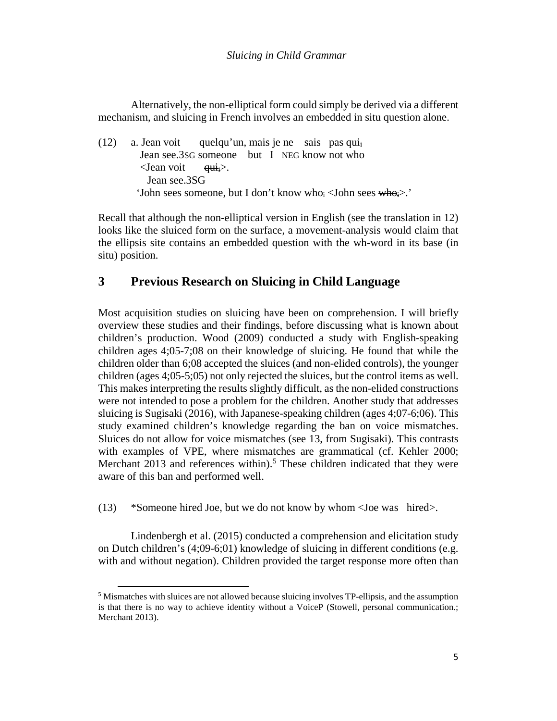Alternatively, the non-elliptical form could simply be derived via a different mechanism, and sluicing in French involves an embedded in situ question alone.

(12) a. Jean voit quelqu'un, mais je ne sais pas qui Jean see.3SG someone but I NEG know not who  $\le$ Jean voit  $\qquad \overrightarrow{q}$ ui $\ge$ . Jean see.3SG 'John sees someone, but I don't know who $\epsilon$  <John sees whoi>.'

Recall that although the non-elliptical version in English (see the translation in 12) looks like the sluiced form on the surface, a movement-analysis would claim that the ellipsis site contains an embedded question with the wh-word in its base (in situ) position.

## **3 Previous Research on Sluicing in Child Language**

Most acquisition studies on sluicing have been on comprehension. I will briefly overview these studies and their findings, before discussing what is known about children's production. Wood (2009) conducted a study with English-speaking children ages 4;05-7;08 on their knowledge of sluicing. He found that while the children older than 6;08 accepted the sluices (and non-elided controls), the younger children (ages 4;05-5;05) not only rejected the sluices, but the control items as well. This makes interpreting the results slightly difficult, as the non-elided constructions were not intended to pose a problem for the children. Another study that addresses sluicing is Sugisaki (2016), with Japanese-speaking children (ages 4;07-6;06). This study examined children's knowledge regarding the ban on voice mismatches. Sluices do not allow for voice mismatches (see 13, from Sugisaki). This contrasts with examples of VPE, where mismatches are grammatical (cf. Kehler 2000; Merchant  $2013$  and references within).<sup>[5](#page-4-0)</sup> These children indicated that they were aware of this ban and performed well.

(13) \*Someone hired Joe, but we do not know by whom <Joe was hired>.

Lindenbergh et al. (2015) conducted a comprehension and elicitation study on Dutch children's (4;09-6;01) knowledge of sluicing in different conditions (e.g. with and without negation). Children provided the target response more often than

 $\overline{a}$ 

<span id="page-4-0"></span><sup>5</sup> Mismatches with sluices are not allowed because sluicing involves TP-ellipsis, and the assumption is that there is no way to achieve identity without a VoiceP (Stowell, personal communication.; Merchant 2013).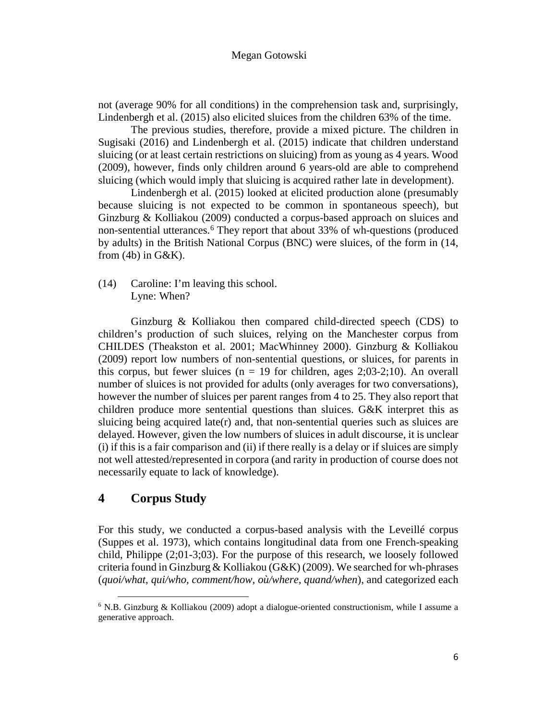not (average 90% for all conditions) in the comprehension task and, surprisingly, Lindenbergh et al. (2015) also elicited sluices from the children 63% of the time.

The previous studies, therefore, provide a mixed picture. The children in Sugisaki (2016) and Lindenbergh et al. (2015) indicate that children understand sluicing (or at least certain restrictions on sluicing) from as young as 4 years. Wood (2009), however, finds only children around 6 years-old are able to comprehend sluicing (which would imply that sluicing is acquired rather late in development).

Lindenbergh et al. (2015) looked at elicited production alone (presumably because sluicing is not expected to be common in spontaneous speech), but Ginzburg & Kolliakou (2009) conducted a corpus-based approach on sluices and non-sentential utterances.<sup>[6](#page-5-0)</sup> They report that about 33% of wh-questions (produced by adults) in the British National Corpus (BNC) were sluices, of the form in (14, from  $(4b)$  in  $G\&K$ ).

(14) Caroline: I'm leaving this school. Lyne: When?

Ginzburg & Kolliakou then compared child-directed speech (CDS) to children's production of such sluices, relying on the Manchester corpus from CHILDES (Theakston et al. 2001; MacWhinney 2000). Ginzburg & Kolliakou (2009) report low numbers of non-sentential questions, or sluices, for parents in this corpus, but fewer sluices ( $n = 19$  for children, ages 2;03-2;10). An overall number of sluices is not provided for adults (only averages for two conversations), however the number of sluices per parent ranges from 4 to 25. They also report that children produce more sentential questions than sluices. G&K interpret this as sluicing being acquired late( $r$ ) and, that non-sentential queries such as sluices are delayed. However, given the low numbers of sluices in adult discourse, it is unclear (i) if this is a fair comparison and (ii) if there really is a delay or if sluices are simply not well attested/represented in corpora (and rarity in production of course does not necessarily equate to lack of knowledge).

## **4 Corpus Study**

 $\overline{a}$ 

For this study, we conducted a corpus-based analysis with the Leveillé corpus (Suppes et al. 1973), which contains longitudinal data from one French-speaking child, Philippe (2;01-3;03). For the purpose of this research, we loosely followed criteria found in Ginzburg & Kolliakou (G&K) (2009). We searched for wh-phrases (*quoi/what, qui/who, comment/how, où/where, quand/when*), and categorized each

<span id="page-5-0"></span> $6$  N.B. Ginzburg & Kolliakou (2009) adopt a dialogue-oriented constructionism, while I assume a generative approach.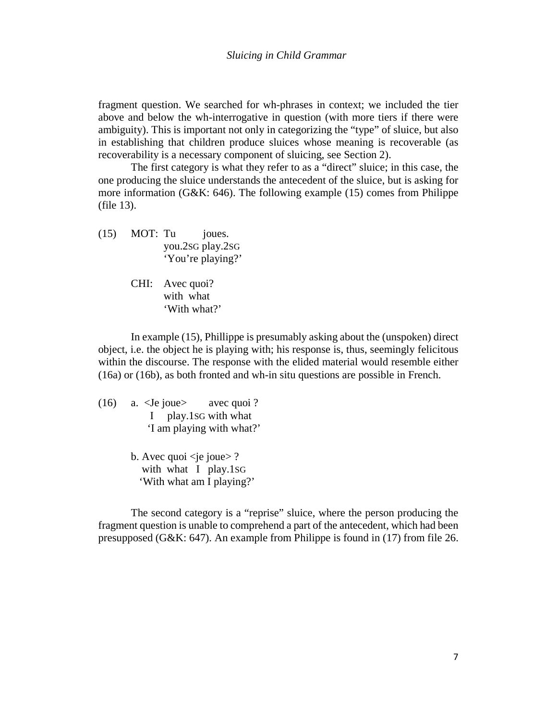fragment question. We searched for wh-phrases in context; we included the tier above and below the wh-interrogative in question (with more tiers if there were ambiguity). This is important not only in categorizing the "type" of sluice, but also in establishing that children produce sluices whose meaning is recoverable (as recoverability is a necessary component of sluicing, see Section 2).

The first category is what they refer to as a "direct" sluice; in this case, the one producing the sluice understands the antecedent of the sluice, but is asking for more information (G&K: 646). The following example (15) comes from Philippe (file 13).

- (15) MOT: Tu joues. you.2SG play.2SG 'You're playing?'
	- CHI: Avec quoi? with what 'With what?'

In example (15), Phillippe is presumably asking about the (unspoken) direct object, i.e. the object he is playing with; his response is, thus, seemingly felicitous within the discourse. The response with the elided material would resemble either (16a) or (16b), as both fronted and wh-in situ questions are possible in French.

- (16) a. <Je joue> avec quoi ? I play.1SG with what 'I am playing with what?'
	- b. Avec quoi  $\leq$ je joue $\geq$  ? with what I play.1SG 'With what am I playing?'

The second category is a "reprise" sluice, where the person producing the fragment question is unable to comprehend a part of the antecedent, which had been presupposed (G&K: 647). An example from Philippe is found in (17) from file 26.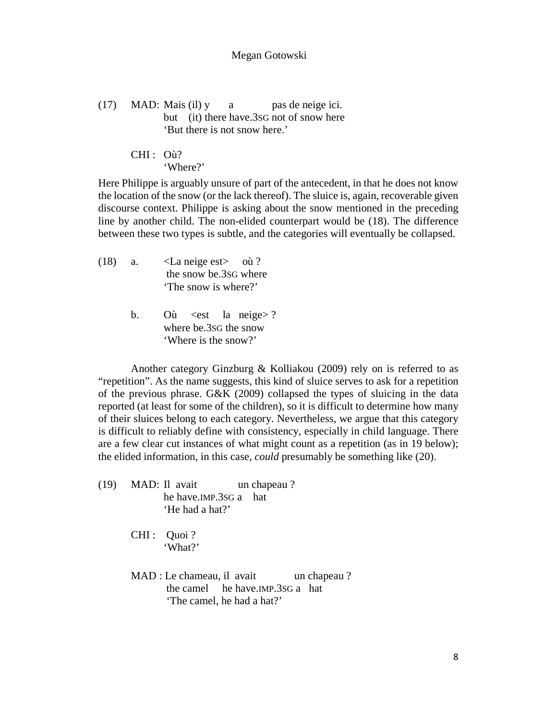(17) MAD: Mais (il)  $y \cdot a$  pas de neige ici. but (it) there have.3SG not of snow here 'But there is not snow here.'

> CHI : Où? 'Where?'

Here Philippe is arguably unsure of part of the antecedent, in that he does not know the location of the snow (or the lack thereof). The sluice is, again, recoverable given discourse context. Philippe is asking about the snow mentioned in the preceding line by another child. The non-elided counterpart would be (18). The difference between these two types is subtle, and the categories will eventually be collapsed.

- (18) a. <La neige est> où ? the snow be.3SG where 'The snow is where?'
	- b. Où <est la neige>? where be.3SG the snow 'Where is the snow?'

Another category Ginzburg & Kolliakou (2009) rely on is referred to as "repetition". As the name suggests, this kind of sluice serves to ask for a repetition of the previous phrase. G&K (2009) collapsed the types of sluicing in the data reported (at least for some of the children), so it is difficult to determine how many of their sluices belong to each category. Nevertheless, we argue that this category is difficult to reliably define with consistency, especially in child language. There are a few clear cut instances of what might count as a repetition (as in 19 below); the elided information, in this case, *could* presumably be something like (20).

- (19) MAD: Il avait un chapeau ? he have.IMP.3SG a hat 'He had a hat?'
	- CHI : Quoi ? 'What?'
	- MAD : Le chameau, il avait un chapeau ? the camel he have.IMP.3SG a hat 'The camel, he had a hat?'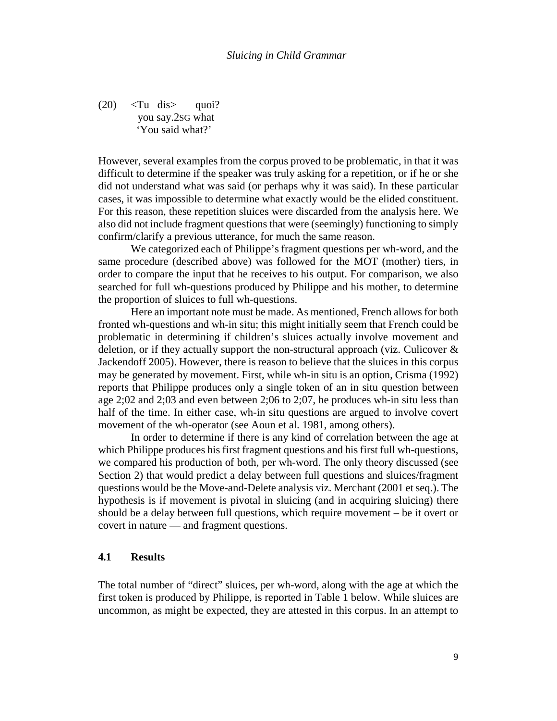$(20)$   $\langle$ Tu dis $\rangle$  quoi? you say.2SG what 'You said what?'

However, several examples from the corpus proved to be problematic, in that it was difficult to determine if the speaker was truly asking for a repetition, or if he or she did not understand what was said (or perhaps why it was said). In these particular cases, it was impossible to determine what exactly would be the elided constituent. For this reason, these repetition sluices were discarded from the analysis here. We also did not include fragment questions that were (seemingly) functioning to simply confirm/clarify a previous utterance, for much the same reason.

We categorized each of Philippe's fragment questions per wh-word, and the same procedure (described above) was followed for the MOT (mother) tiers, in order to compare the input that he receives to his output. For comparison, we also searched for full wh-questions produced by Philippe and his mother, to determine the proportion of sluices to full wh-questions.

Here an important note must be made. As mentioned, French allows for both fronted wh-questions and wh-in situ; this might initially seem that French could be problematic in determining if children's sluices actually involve movement and deletion, or if they actually support the non-structural approach (viz. Culicover & Jackendoff 2005). However, there is reason to believe that the sluices in this corpus may be generated by movement. First, while wh-in situ is an option, Crisma (1992) reports that Philippe produces only a single token of an in situ question between age 2;02 and 2;03 and even between 2;06 to 2;07, he produces wh-in situ less than half of the time. In either case, wh-in situ questions are argued to involve covert movement of the wh-operator (see Aoun et al. 1981, among others).

In order to determine if there is any kind of correlation between the age at which Philippe produces his first fragment questions and his first full wh-questions, we compared his production of both, per wh-word. The only theory discussed (see Section 2) that would predict a delay between full questions and sluices/fragment questions would be the Move-and-Delete analysis viz. Merchant (2001 et seq.). The hypothesis is if movement is pivotal in sluicing (and in acquiring sluicing) there should be a delay between full questions, which require movement – be it overt or covert in nature — and fragment questions.

### **4.1 Results**

The total number of "direct" sluices, per wh-word, along with the age at which the first token is produced by Philippe, is reported in Table 1 below. While sluices are uncommon, as might be expected, they are attested in this corpus. In an attempt to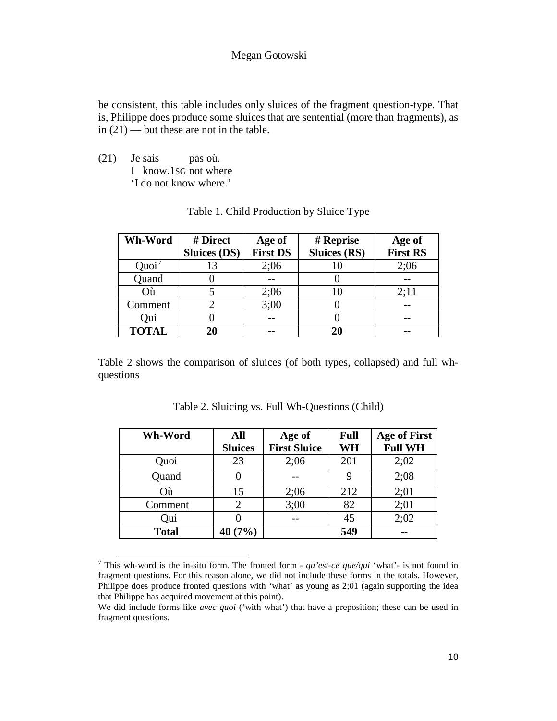be consistent, this table includes only sluices of the fragment question-type. That is, Philippe does produce some sluices that are sentential (more than fragments), as in  $(21)$  — but these are not in the table.

(21) Je sais pas où. I know.1SG not where 'I do not know where.'

<u>.</u>

| Wh-Word           | # Direct            | Age of          | # Reprise           | Age of          |
|-------------------|---------------------|-----------------|---------------------|-----------------|
|                   | <b>Sluices (DS)</b> | <b>First DS</b> | <b>Sluices (RS)</b> | <b>First RS</b> |
| Quoi <sup>7</sup> | 13                  | 2:06            |                     | 2;06            |
| Quand             |                     |                 |                     |                 |
| Où                |                     | 2:06            | 10                  | 2:11            |
| Comment           |                     | 3:00            |                     |                 |
| Qui               |                     |                 |                     |                 |
| <b>TOTAL</b>      | 20                  |                 | 20                  |                 |

### Table 1. Child Production by Sluice Type

Table 2 shows the comparison of sluices (of both types, collapsed) and full whquestions

| Wh-Word      | All<br><b>Sluices</b> | Age of<br><b>First Sluice</b> | Full<br>WH | <b>Age of First</b><br><b>Full WH</b> |
|--------------|-----------------------|-------------------------------|------------|---------------------------------------|
| Quoi         | 23                    | 2;06                          | 201        | 2;02                                  |
| Quand        |                       |                               | 9          | 2;08                                  |
| Où           | 15                    | 2:06                          | 212        | 2;01                                  |
| Comment      | 2                     | 3:00                          | 82         | 2;01                                  |
| Qui          |                       |                               | 45         | 2:02                                  |
| <b>Total</b> | 40(7%)                |                               | 549        |                                       |

Table 2. Sluicing vs. Full Wh-Questions (Child)

<span id="page-9-0"></span><sup>7</sup> This wh-word is the in-situ form. The fronted form - *qu'est-ce que/qui* 'what'- is not found in fragment questions. For this reason alone, we did not include these forms in the totals. However, Philippe does produce fronted questions with 'what' as young as 2;01 (again supporting the idea that Philippe has acquired movement at this point).

We did include forms like *avec quoi* ('with what') that have a preposition; these can be used in fragment questions.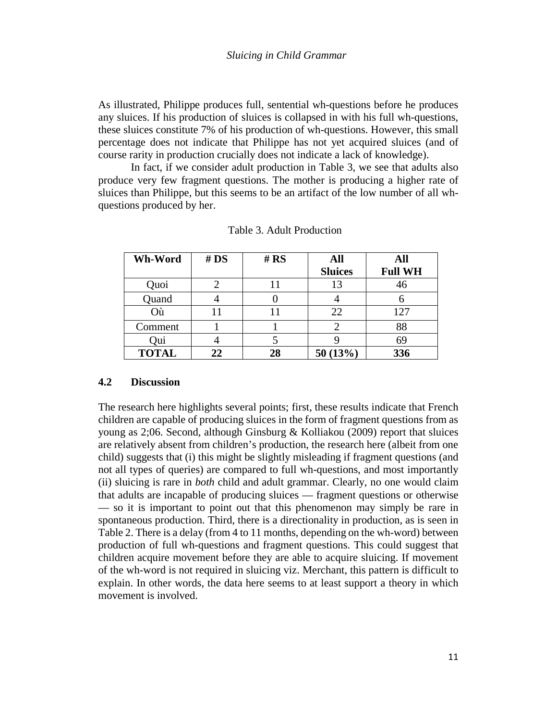As illustrated, Philippe produces full, sentential wh-questions before he produces any sluices. If his production of sluices is collapsed in with his full wh-questions, these sluices constitute 7% of his production of wh-questions. However, this small percentage does not indicate that Philippe has not yet acquired sluices (and of course rarity in production crucially does not indicate a lack of knowledge).

In fact, if we consider adult production in Table 3, we see that adults also produce very few fragment questions. The mother is producing a higher rate of sluices than Philippe, but this seems to be an artifact of the low number of all whquestions produced by her.

| Wh-Word      | # DS | # $RS$ | All            | All            |
|--------------|------|--------|----------------|----------------|
|              |      |        | <b>Sluices</b> | <b>Full WH</b> |
| Quoi         |      |        | 13             | 46             |
| Quand        |      |        |                |                |
| Où           | 11   |        | 22             | 127            |
| Comment      |      |        |                | 88             |
| Oui          |      |        |                | 69             |
| <b>TOTAL</b> | 22   | 28     | 50(13%)        | 336            |

Table 3. Adult Production

### **4.2 Discussion**

The research here highlights several points; first, these results indicate that French children are capable of producing sluices in the form of fragment questions from as young as  $2;06$ . Second, although Ginsburg & Kolliakou (2009) report that sluices are relatively absent from children's production, the research here (albeit from one child) suggests that (i) this might be slightly misleading if fragment questions (and not all types of queries) are compared to full wh-questions, and most importantly (ii) sluicing is rare in *both* child and adult grammar. Clearly, no one would claim that adults are incapable of producing sluices — fragment questions or otherwise — so it is important to point out that this phenomenon may simply be rare in spontaneous production. Third, there is a directionality in production, as is seen in Table 2. There is a delay (from 4 to 11 months, depending on the wh-word) between production of full wh-questions and fragment questions. This could suggest that children acquire movement before they are able to acquire sluicing. If movement of the wh-word is not required in sluicing viz. Merchant, this pattern is difficult to explain. In other words, the data here seems to at least support a theory in which movement is involved.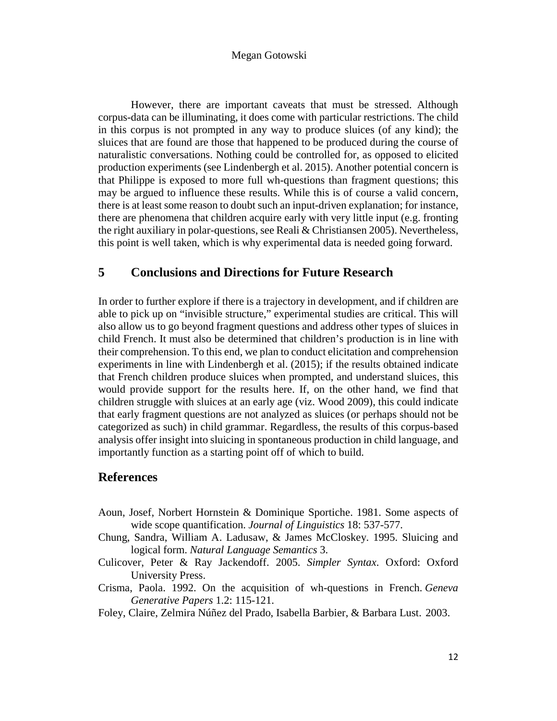However, there are important caveats that must be stressed. Although corpus-data can be illuminating, it does come with particular restrictions. The child in this corpus is not prompted in any way to produce sluices (of any kind); the sluices that are found are those that happened to be produced during the course of naturalistic conversations. Nothing could be controlled for, as opposed to elicited production experiments (see Lindenbergh et al. 2015). Another potential concern is that Philippe is exposed to more full wh-questions than fragment questions; this may be argued to influence these results. While this is of course a valid concern, there is at least some reason to doubt such an input-driven explanation; for instance, there are phenomena that children acquire early with very little input (e.g. fronting the right auxiliary in polar-questions, see Reali & Christiansen 2005). Nevertheless, this point is well taken, which is why experimental data is needed going forward.

### **5 Conclusions and Directions for Future Research**

In order to further explore if there is a trajectory in development, and if children are able to pick up on "invisible structure," experimental studies are critical. This will also allow us to go beyond fragment questions and address other types of sluices in child French. It must also be determined that children's production is in line with their comprehension. To this end, we plan to conduct elicitation and comprehension experiments in line with Lindenbergh et al. (2015); if the results obtained indicate that French children produce sluices when prompted, and understand sluices, this would provide support for the results here. If, on the other hand, we find that children struggle with sluices at an early age (viz. Wood 2009), this could indicate that early fragment questions are not analyzed as sluices (or perhaps should not be categorized as such) in child grammar. Regardless, the results of this corpus-based analysis offer insight into sluicing in spontaneous production in child language, and importantly function as a starting point off of which to build.

## **References**

- Aoun, Josef, Norbert Hornstein & Dominique Sportiche. 1981. Some aspects of wide scope quantification. *Journal of Linguistics* 18: 537-577.
- Chung, Sandra, William A. Ladusaw, & James McCloskey. 1995. Sluicing and logical form. *Natural Language Semantics* 3.
- Culicover, Peter & Ray Jackendoff. 2005. *Simpler Syntax*. Oxford: Oxford University Press.
- Crisma, Paola. 1992. On the acquisition of wh-questions in French. *Geneva Generative Papers* 1.2: 115-121.
- Foley, Claire, Zelmira Núñez del Prado, Isabella Barbier, & Barbara Lust. 2003.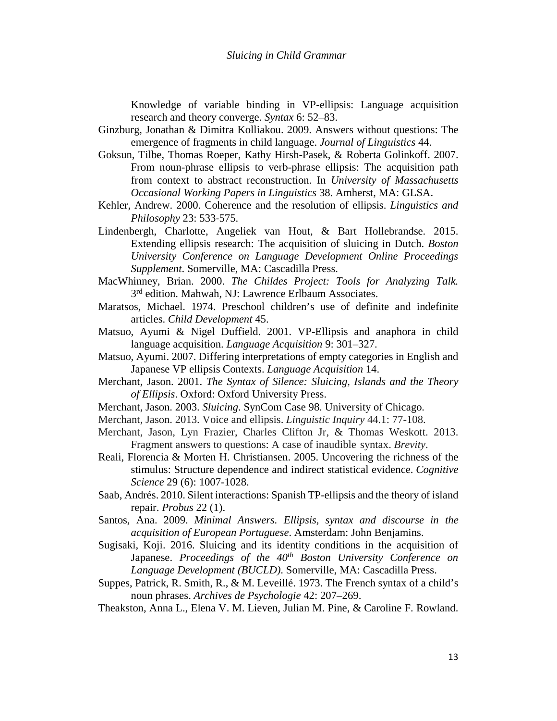Knowledge of variable binding in VP-ellipsis: Language acquisition research and theory converge. *Syntax* 6: 52–83.

- Ginzburg, Jonathan & Dimitra Kolliakou. 2009. Answers without questions: The emergence of fragments in child language. *Journal of Linguistics* 44.
- Goksun, Tilbe, Thomas Roeper, Kathy Hirsh-Pasek, & Roberta Golinkoff. 2007. From noun-phrase ellipsis to verb-phrase ellipsis: The acquisition path from context to abstract reconstruction. In *University of Massachusetts Occasional Working Papers in Linguistics* 38. Amherst, MA: GLSA.
- Kehler, Andrew. 2000. Coherence and the resolution of ellipsis. *Linguistics and Philosophy* 23: 533‐575.
- Lindenbergh, Charlotte, Angeliek van Hout, & Bart Hollebrandse. 2015. Extending ellipsis research: The acquisition of sluicing in Dutch. *Boston University Conference on Language Development Online Proceedings Supplement*. Somerville, MA: Cascadilla Press.
- MacWhinney, Brian. 2000. *The Childes Project: Tools for Analyzing Talk.*  3<sup>rd</sup> edition. Mahwah, NJ: Lawrence Erlbaum Associates.
- Maratsos, Michael. 1974. Preschool children's use of definite and indefinite articles. *Child Development* 45.
- Matsuo, Ayumi & Nigel Duffield. 2001. VP-Ellipsis and anaphora in child language acquisition. *Language Acquisition* 9: 301–327.
- Matsuo, Ayumi. 2007. Differing interpretations of empty categories in English and Japanese VP ellipsis Contexts. *Language Acquisition* 14.
- Merchant, Jason. 2001. *The Syntax of Silence: Sluicing, Islands and the Theory of Ellipsis*. Oxford: Oxford University Press.
- Merchant, Jason. 2003. *Sluicing*. SynCom Case 98. University of Chicago.
- Merchant, Jason. 2013. Voice and ellipsis. *Linguistic Inquiry* 44.1: 77-108.
- Merchant, Jason, Lyn Frazier, Charles Clifton Jr, & Thomas Weskott. 2013. Fragment answers to questions: A case of inaudible syntax. *Brevity*.
- Reali, Florencia & Morten H. Christiansen. 2005. Uncovering the richness of the stimulus: Structure dependence and indirect statistical evidence. *Cognitive Science* 29 (6): 1007-1028.
- Saab, Andrés. 2010. Silent interactions: Spanish TP-ellipsis and the theory of island repair. *Probus* 22 (1).
- Santos, Ana. 2009. *Minimal Answers. Ellipsis, syntax and discourse in the acquisition of European Portuguese*. Amsterdam: John Benjamins.
- Sugisaki, Koji. 2016. Sluicing and its identity conditions in the acquisition of Japanese. *Proceedings of the 40th Boston University Conference on Language Development (BUCLD)*. Somerville, MA: Cascadilla Press.
- Suppes, Patrick, R. Smith, R., & M. Leveillé. 1973. The French syntax of a child's noun phrases. *Archives de Psychologie* 42: 207–269.

Theakston, Anna L., Elena V. M. Lieven, Julian M. Pine, & Caroline F. Rowland.